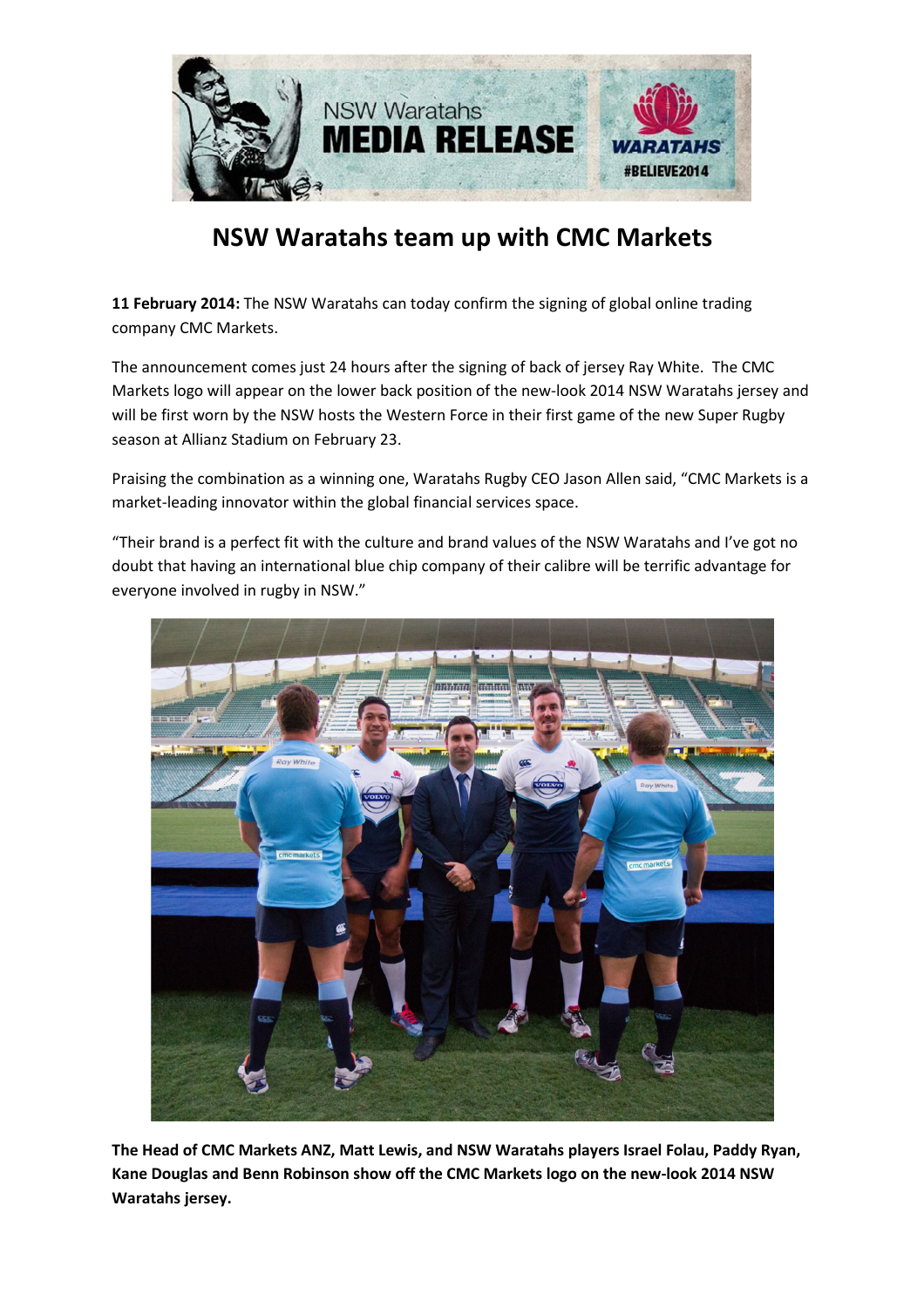

## NSW Waratahs team up with CMC Markets

11 February 2014: The NSW Waratahs can today confirm the signing of global online trading company CMC Markets.

The announcement comes just 24 hours after the signing of back of jersey Ray White. The CMC Markets logo will appear on the lower back position of the new-look 2014 NSW Waratahs jersey and will be first worn by the NSW hosts the Western Force in their first game of the new Super Rugby season at Allianz Stadium on February 23.

Praising the combination as a winning one, Waratahs Rugby CEO Jason Allen said, "CMC Markets is a market-leading innovator within the global financial services space.

"Their brand is a perfect fit with the culture and brand values of the NSW Waratahs and I've got no doubt that having an international blue chip company of their calibre will be terrific advantage for everyone involved in rugby in NSW."



The Head of CMC Markets ANZ, Matt Lewis, and NSW Waratahs players Israel Folau, Paddy Ryan, Kane Douglas and Benn Robinson show off the CMC Markets logo on the new-look 2014 NSW Waratahs jersey.